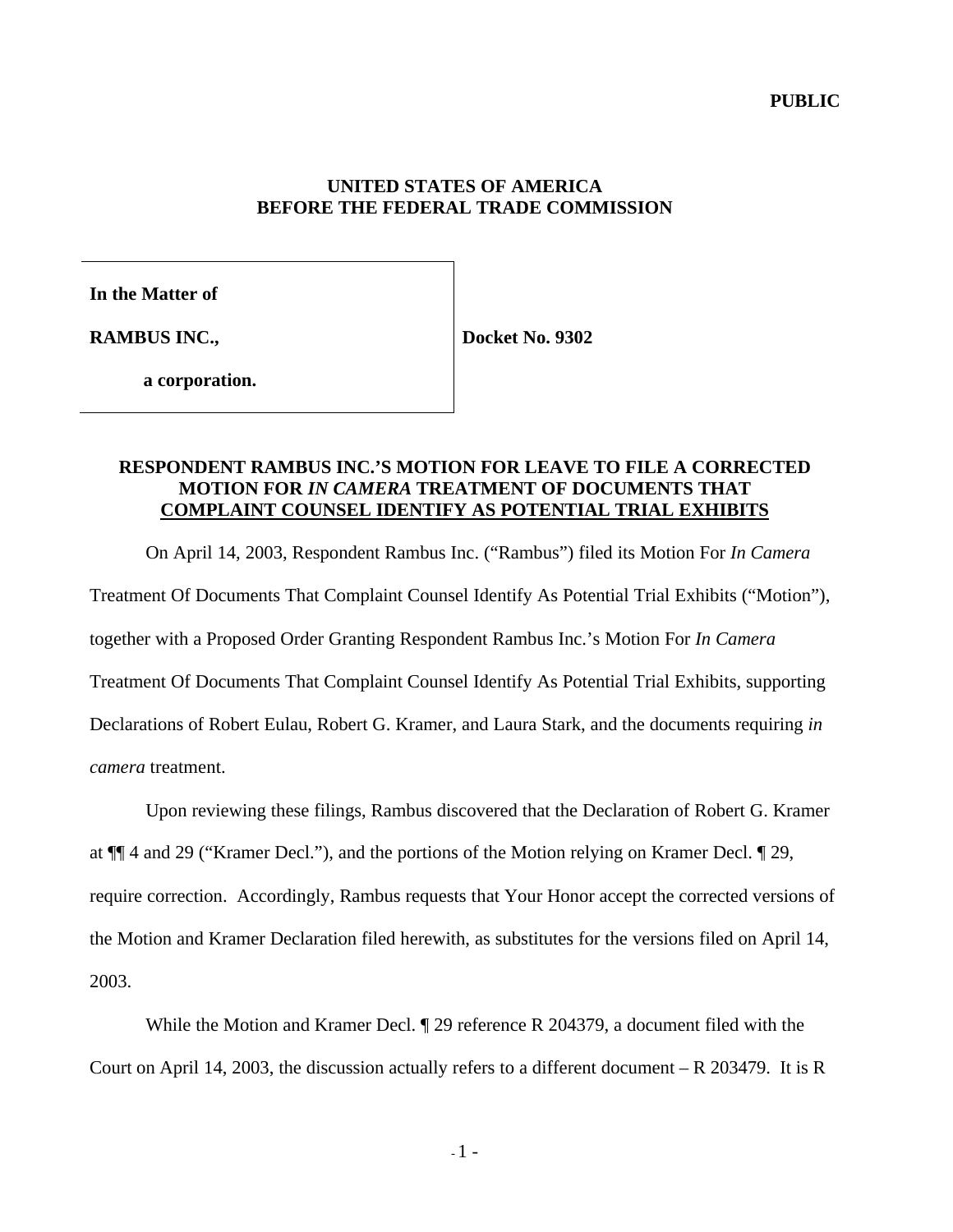#### **UNITED STATES OF AMERICA BEFORE THE FEDERAL TRADE COMMISSION**

**In the Matter of**

**RAMBUS INC.,**

**Docket No. 9302**

**a corporation.**

## **RESPONDENT RAMBUS INC.'S MOTION FOR LEAVE TO FILE A CORRECTED MOTION FOR** *IN CAMERA* **TREATMENT OF DOCUMENTS THAT COMPLAINT COUNSEL IDENTIFY AS POTENTIAL TRIAL EXHIBITS**

On April 14, 2003, Respondent Rambus Inc. ("Rambus") filed its Motion For *In Camera* Treatment Of Documents That Complaint Counsel Identify As Potential Trial Exhibits ("Motion"), together with a Proposed Order Granting Respondent Rambus Inc.'s Motion For *In Camera* Treatment Of Documents That Complaint Counsel Identify As Potential Trial Exhibits, supporting Declarations of Robert Eulau, Robert G. Kramer, and Laura Stark, and the documents requiring *in camera* treatment.

Upon reviewing these filings, Rambus discovered that the Declaration of Robert G. Kramer at ¶¶ 4 and 29 ("Kramer Decl."), and the portions of the Motion relying on Kramer Decl. ¶ 29, require correction. Accordingly, Rambus requests that Your Honor accept the corrected versions of the Motion and Kramer Declaration filed herewith, as substitutes for the versions filed on April 14, 2003.

While the Motion and Kramer Decl. ¶ 29 reference R 204379, a document filed with the Court on April 14, 2003, the discussion actually refers to a different document – R 203479. It is R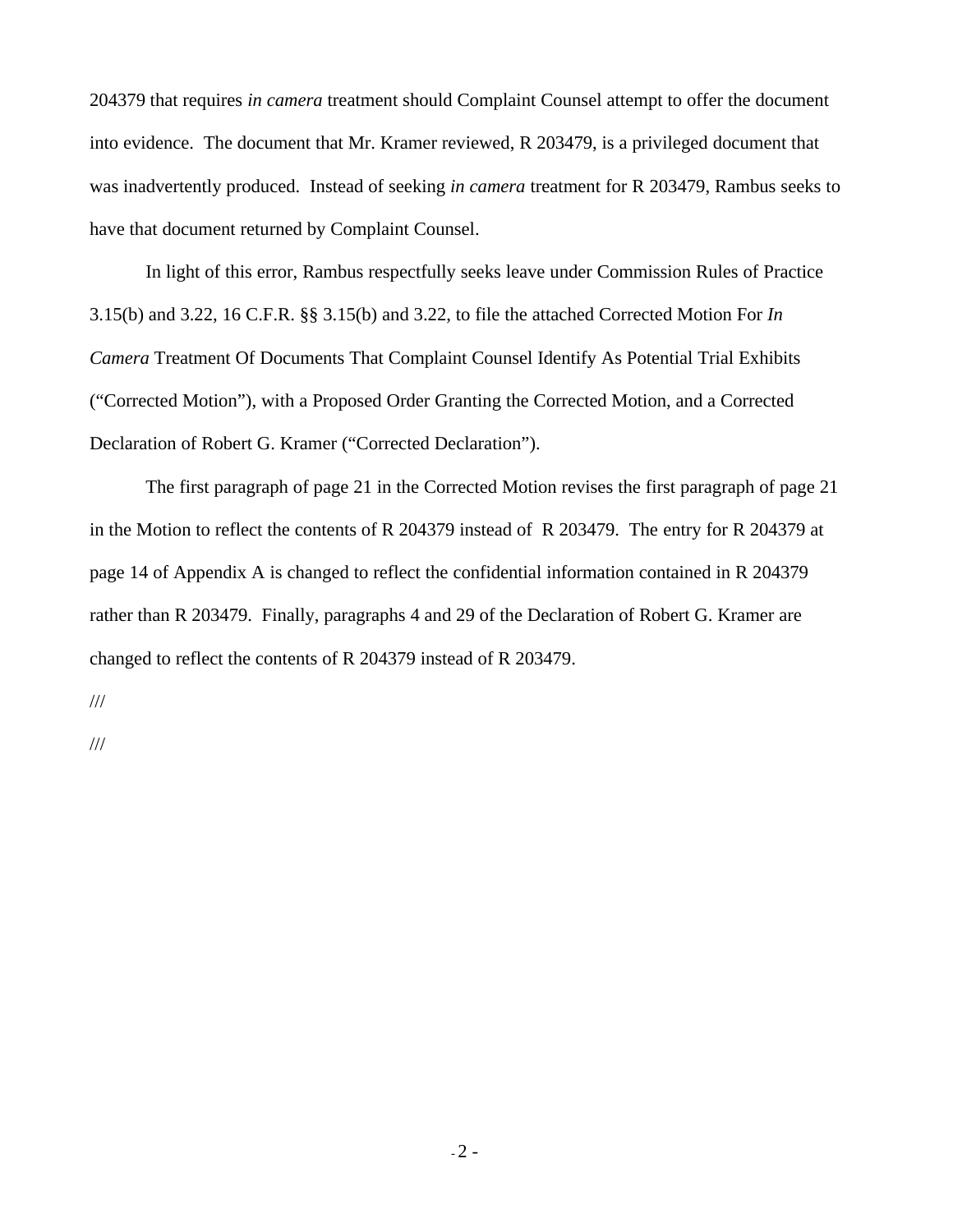204379 that requires *in camera* treatment should Complaint Counsel attempt to offer the document into evidence. The document that Mr. Kramer reviewed, R 203479, is a privileged document that was inadvertently produced. Instead of seeking *in camera* treatment for R 203479, Rambus seeks to have that document returned by Complaint Counsel.

In light of this error, Rambus respectfully seeks leave under Commission Rules of Practice 3.15(b) and 3.22, 16 C.F.R. §§ 3.15(b) and 3.22, to file the attached Corrected Motion For *In Camera* Treatment Of Documents That Complaint Counsel Identify As Potential Trial Exhibits ("Corrected Motion"), with a Proposed Order Granting the Corrected Motion, and a Corrected Declaration of Robert G. Kramer ("Corrected Declaration").

The first paragraph of page 21 in the Corrected Motion revises the first paragraph of page 21 in the Motion to reflect the contents of R 204379 instead of R 203479. The entry for R 204379 at page 14 of Appendix A is changed to reflect the confidential information contained in R 204379 rather than R 203479. Finally, paragraphs 4 and 29 of the Declaration of Robert G. Kramer are changed to reflect the contents of R 204379 instead of R 203479.

///

///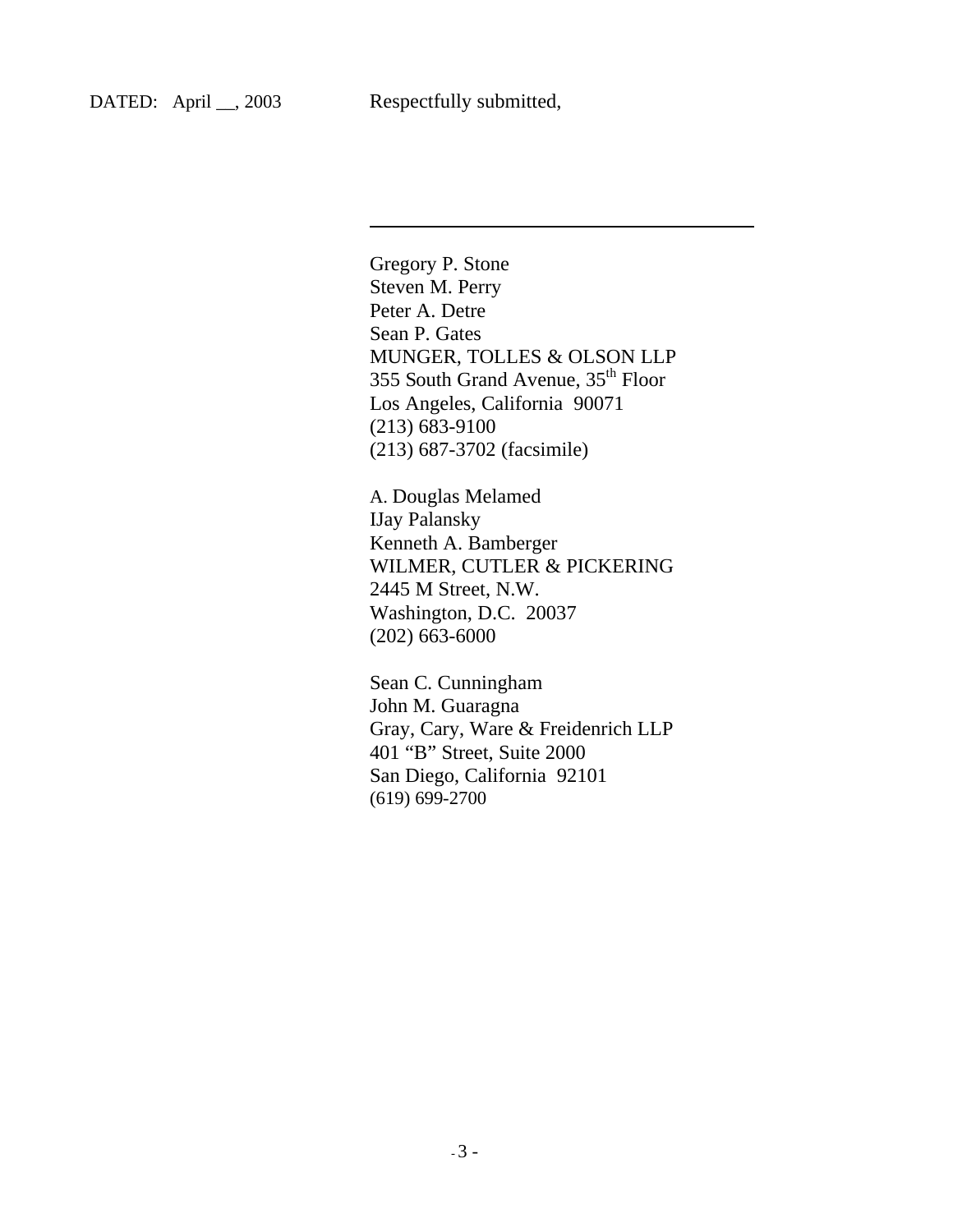l

Gregory P. Stone Steven M. Perry Peter A. Detre Sean P. Gates MUNGER, TOLLES & OLSON LLP 355 South Grand Avenue, 35th Floor Los Angeles, California 90071 (213) 683-9100 (213) 687-3702 (facsimile)

A. Douglas Melamed IJay Palansky Kenneth A. Bamberger WILMER, CUTLER & PICKERING 2445 M Street, N.W. Washington, D.C. 20037 (202) 663-6000

Sean C. Cunningham John M. Guaragna Gray, Cary, Ware & Freidenrich LLP 401 "B" Street, Suite 2000 San Diego, California 92101 (619) 699-2700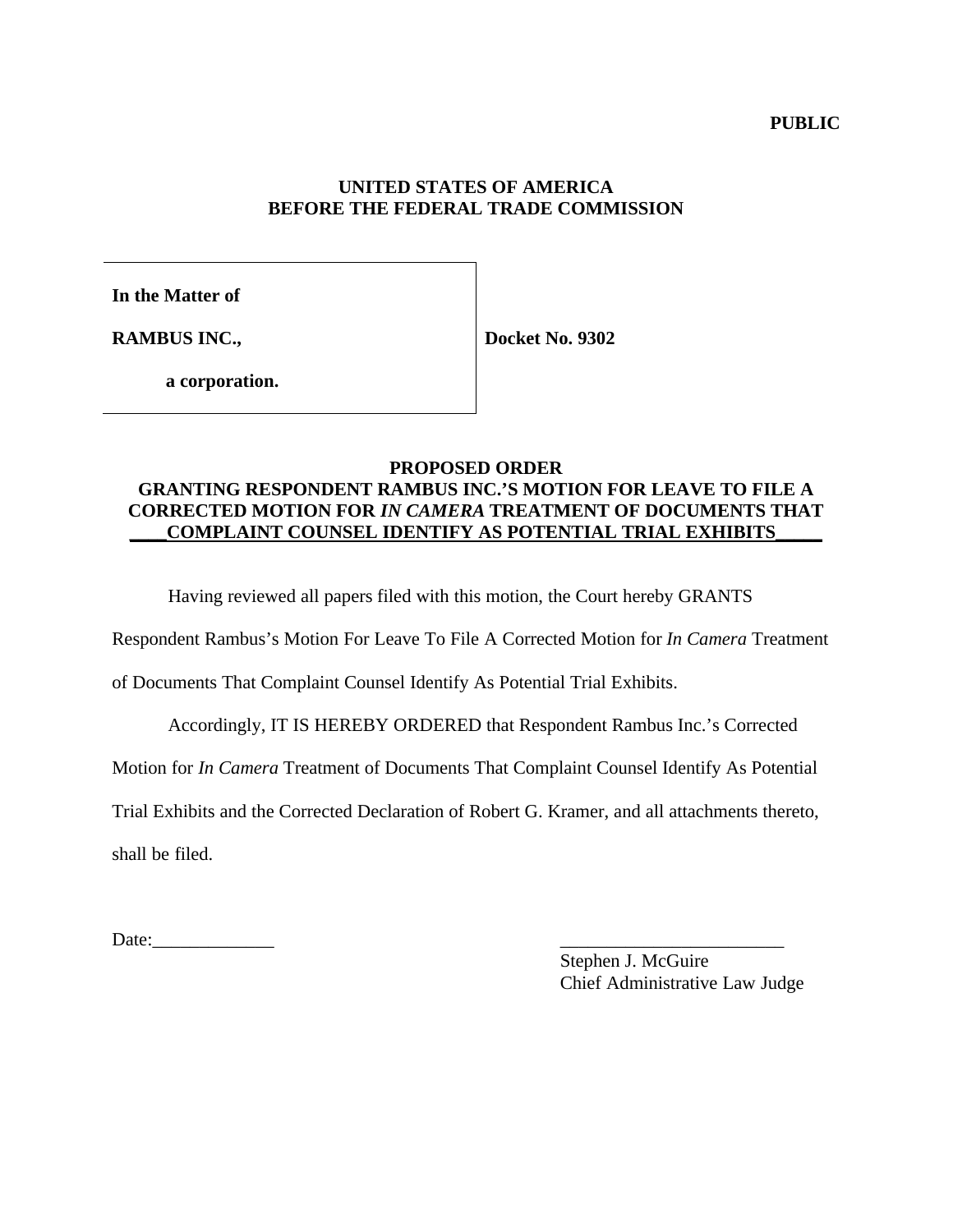**PUBLIC** 

## **UNITED STATES OF AMERICA BEFORE THE FEDERAL TRADE COMMISSION**

**In the Matter of**

**RAMBUS INC.,**

**Docket No. 9302**

**a corporation.**

## **PROPOSED ORDER GRANTING RESPONDENT RAMBUS INC.'S MOTION FOR LEAVE TO FILE A CORRECTED MOTION FOR** *IN CAMERA* **TREATMENT OF DOCUMENTS THAT \_\_\_\_COMPLAINT COUNSEL IDENTIFY AS POTENTIAL TRIAL EXHIBITS\_\_\_\_\_**

Having reviewed all papers filed with this motion, the Court hereby GRANTS

Respondent Rambus's Motion For Leave To File A Corrected Motion for *In Camera* Treatment

of Documents That Complaint Counsel Identify As Potential Trial Exhibits.

Accordingly, IT IS HEREBY ORDERED that Respondent Rambus Inc.'s Corrected

Motion for *In Camera* Treatment of Documents That Complaint Counsel Identify As Potential

Trial Exhibits and the Corrected Declaration of Robert G. Kramer, and all attachments thereto,

shall be filed.

Date:\_\_\_\_\_\_\_\_\_\_\_\_\_ \_\_\_\_\_\_\_\_\_\_\_\_\_\_\_\_\_\_\_\_\_\_\_\_

Stephen J. McGuire Chief Administrative Law Judge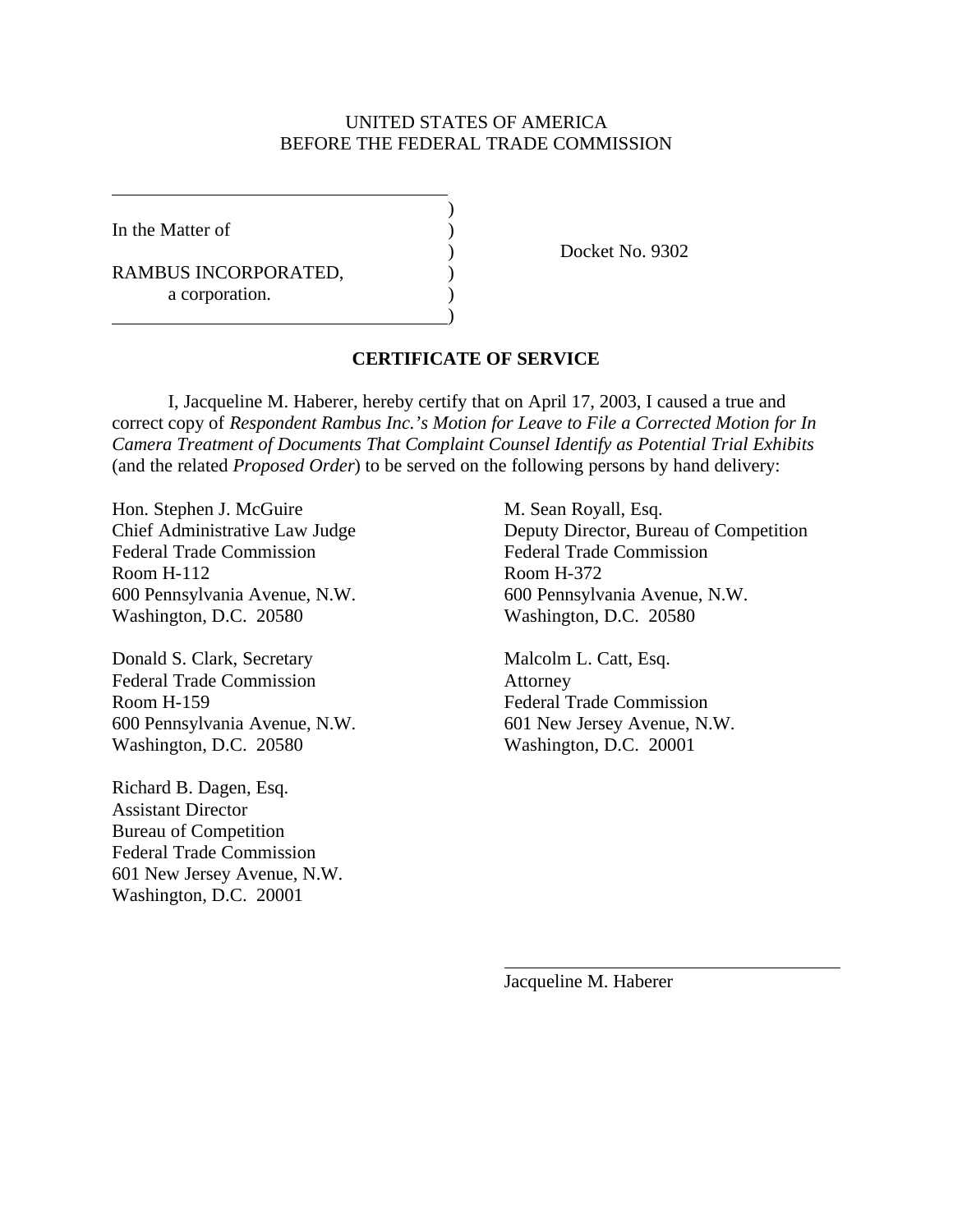## UNITED STATES OF AMERICA BEFORE THE FEDERAL TRADE COMMISSION

)

)

In the Matter of  $\qquad \qquad$  )

RAMBUS INCORPORATED, a corporation.

) Docket No. 9302

## **CERTIFICATE OF SERVICE**

I, Jacqueline M. Haberer, hereby certify that on April 17, 2003, I caused a true and correct copy of *Respondent Rambus Inc.'s Motion for Leave to File a Corrected Motion for In Camera Treatment of Documents That Complaint Counsel Identify as Potential Trial Exhibits* (and the related *Proposed Order*) to be served on the following persons by hand delivery:

Hon. Stephen J. McGuire M. Sean Royall, Esq. Federal Trade Commission Federal Trade Commission Room H-112 Room H-372 Washington, D.C. 20580 Washington, D.C. 20580

Donald S. Clark, Secretary Malcolm L. Catt, Esq. Federal Trade Commission Attorney Room H-159 Federal Trade Commission 600 Pennsylvania Avenue, N.W. 601 New Jersey Avenue, N.W. Washington, D.C. 20580 Washington, D.C. 20001

Richard B. Dagen, Esq. Assistant Director Bureau of Competition Federal Trade Commission 601 New Jersey Avenue, N.W. Washington, D.C. 20001

Chief Administrative Law Judge Deputy Director, Bureau of Competition 600 Pennsylvania Avenue, N.W. 600 Pennsylvania Avenue, N.W.

Jacqueline M. Haberer